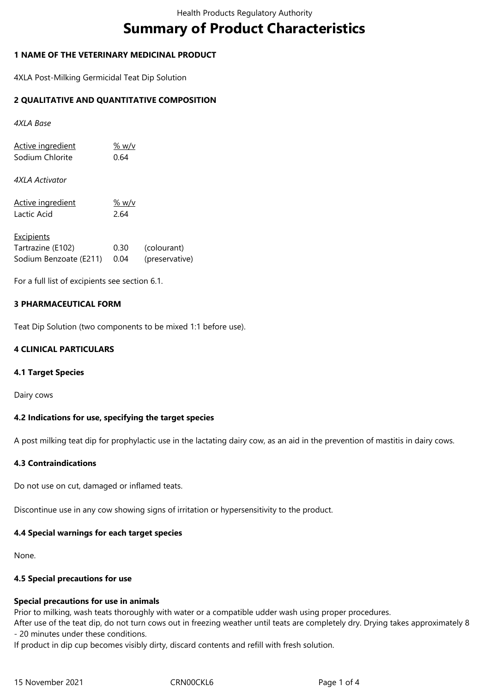# **Summary of Product Characteristics**

## **1 NAME OF THE VETERINARY MEDICINAL PRODUCT**

4XLA Post-Milking Germicidal Teat Dip Solution

## **2 QUALITATIVE AND QUANTITATIVE COMPOSITION**

*4XLA Base*

Active ingredient % w/v Sodium Chlorite 0.64

*4XLA Activator*

Active ingredient % w/v Lactic Acid 2.64

| <b>Excipients</b>      |      |                |
|------------------------|------|----------------|
| Tartrazine (E102)      | 0.30 | (colourant)    |
| Sodium Benzoate (E211) | 0.04 | (preservative) |

For a full list of excipients see section 6.1.

## **3 PHARMACEUTICAL FORM**

Teat Dip Solution (two components to be mixed 1:1 before use).

## **4 CLINICAL PARTICULARS**

## **4.1 Target Species**

Dairy cows

## **4.2 Indications for use, specifying the target species**

A post milking teat dip for prophylactic use in the lactating dairy cow, as an aid in the prevention of mastitis in dairy cows.

## **4.3 Contraindications**

Do not use on cut, damaged or inflamed teats.

Discontinue use in any cow showing signs of irritation or hypersensitivity to the product.

## **4.4 Special warnings for each target species**

None.

## **4.5 Special precautions for use**

## **Special precautions for use in animals**

Prior to milking, wash teats thoroughly with water or a compatible udder wash using proper procedures.

After use of the teat dip, do not turn cows out in freezing weather until teats are completely dry. Drying takes approximately 8 - 20 minutes under these conditions.

If product in dip cup becomes visibly dirty, discard contents and refill with fresh solution.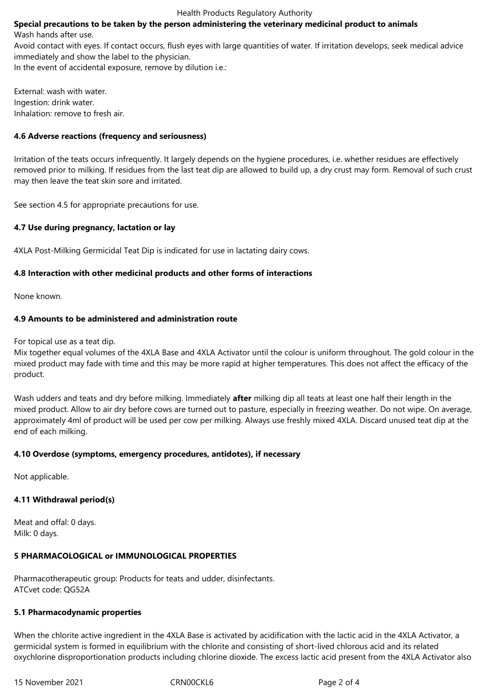#### Health Products Regulatory Authority

#### **Special precautions to be taken by the person administering the veterinary medicinal product to animals** Wash hands after use.

Avoid contact with eyes. If contact occurs, flush eyes with large quantities of water. If irritation develops, seek medical advice immediately and show the label to the physician.

In the event of accidental exposure, remove by dilution i.e.:

External: wash with water. Ingestion: drink water. Inhalation: remove to fresh air.

## **4.6 Adverse reactions (frequency and seriousness)**

Irritation of the teats occurs infrequently. It largely depends on the hygiene procedures, i.e. whether residues are effectively removed prior to milking. If residues from the last teat dip are allowed to build up, a dry crust may form. Removal of such crust may then leave the teat skin sore and irritated.

See section 4.5 for appropriate precautions for use.

## **4.7 Use during pregnancy, lactation or lay**

4XLA Post-Milking Germicidal Teat Dip is indicated for use in lactating dairy cows.

## **4.8 Interaction with other medicinal products and other forms of interactions**

None known.

## **4.9 Amounts to be administered and administration route**

For topical use as a teat dip.

Mix together equal volumes of the 4XLA Base and 4XLA Activator until the colour is uniform throughout. The gold colour in the mixed product may fade with time and this may be more rapid at higher temperatures. This does not affect the efficacy of the product.

Wash udders and teats and dry before milking. Immediately **after** milking dip all teats at least one half their length in the mixed product. Allow to air dry before cows are turned out to pasture, especially in freezing weather. Do not wipe. On average, approximately 4ml of product will be used per cow per milking. Always use freshly mixed 4XLA. Discard unused teat dip at the end of each milking.

## **4.10 Overdose (symptoms, emergency procedures, antidotes), if necessary**

Not applicable.

## **4.11 Withdrawal period(s)**

Meat and offal: 0 days. Milk: 0 days.

## **5 PHARMACOLOGICAL or IMMUNOLOGICAL PROPERTIES**

Pharmacotherapeutic group: Products for teats and udder, disinfectants. ATCvet code: QG52A

## **5.1 Pharmacodynamic properties**

When the chlorite active ingredient in the 4XLA Base is activated by acidification with the lactic acid in the 4XLA Activator, a germicidal system is formed in equilibrium with the chlorite and consisting of short-lived chlorous acid and its related oxychlorine disproportionation products including chlorine dioxide. The excess lactic acid present from the 4XLA Activator also

15 November 2021 CRN00CKL6 Page 2 of 4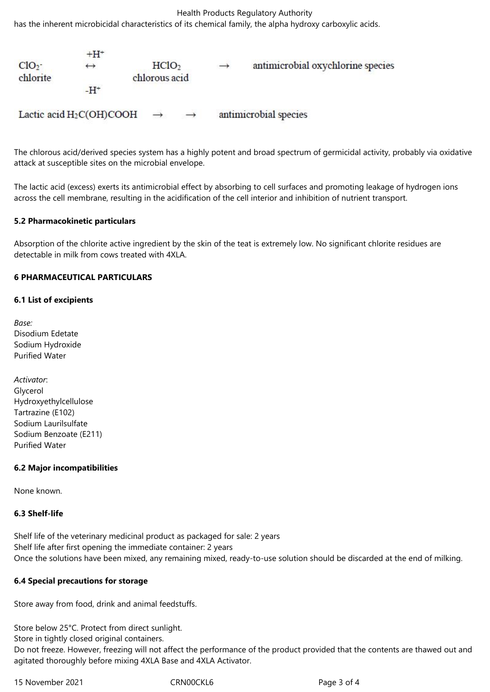Health Products Regulatory Authority

has the inherent microbicidal characteristics of its chemical family, the alpha hydroxy carboxylic acids.

| ClO <sub>2</sub><br>chlorite | $^+ \mathrm{H}^+$<br>HCIO <sub>2</sub><br>$\leftrightarrow$<br>chlorous acid |  |  | $\rightarrow$ | antimicrobial oxychlorine species |
|------------------------------|------------------------------------------------------------------------------|--|--|---------------|-----------------------------------|
|                              | $-H^+$                                                                       |  |  |               |                                   |
|                              | Lactic acid H <sub>2</sub> C(OH)COOH                                         |  |  |               | antimicrobial species             |

The chlorous acid/derived species system has a highly potent and broad spectrum of germicidal activity, probably via oxidative attack at susceptible sites on the microbial envelope.

The lactic acid (excess) exerts its antimicrobial effect by absorbing to cell surfaces and promoting leakage of hydrogen ions across the cell membrane, resulting in the acidification of the cell interior and inhibition of nutrient transport.

## **5.2 Pharmacokinetic particulars**

Absorption of the chlorite active ingredient by the skin of the teat is extremely low. No significant chlorite residues are detectable in milk from cows treated with 4XLA.

## **6 PHARMACEUTICAL PARTICULARS**

## **6.1 List of excipients**

*Base:* Disodium Edetate Sodium Hydroxide Purified Water

*Activator*: Glycerol Hydroxyethylcellulose Tartrazine (E102) Sodium Laurilsulfate Sodium Benzoate (E211) Purified Water

# **6.2 Major incompatibilities**

None known.

# **6.3 Shelf-life**

Shelf life of the veterinary medicinal product as packaged for sale: 2 years Shelf life after first opening the immediate container: 2 years Once the solutions have been mixed, any remaining mixed, ready-to-use solution should be discarded at the end of milking.

# **6.4 Special precautions for storage**

Store away from food, drink and animal feedstuffs.

Store below 25°C. Protect from direct sunlight. Store in tightly closed original containers. Do not freeze. However, freezing will not affect the performance of the product provided that the contents are thawed out and agitated thoroughly before mixing 4XLA Base and 4XLA Activator.

15 November 2021 CRN00CKL6 Page 3 of 4